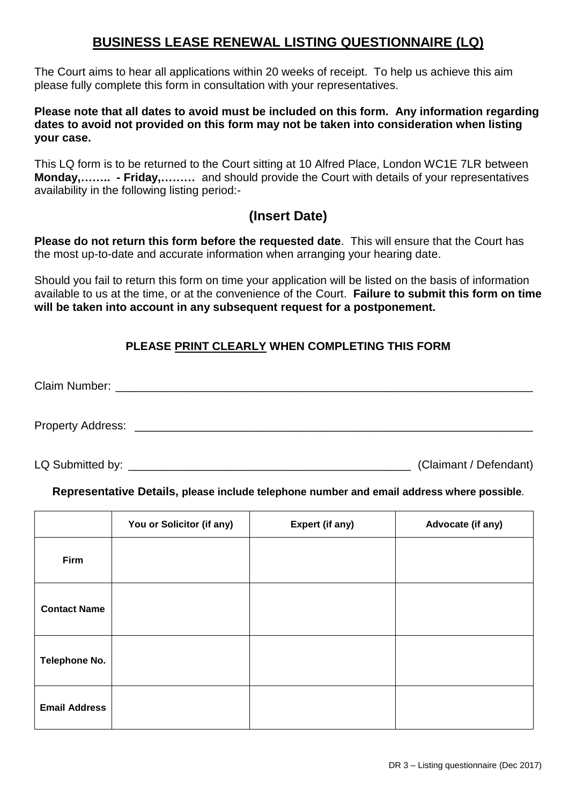# **BUSINESS LEASE RENEWAL LISTING QUESTIONNAIRE (LQ)**

The Court aims to hear all applications within 20 weeks of receipt. To help us achieve this aim please fully complete this form in consultation with your representatives.

### **Please note that all dates to avoid must be included on this form. Any information regarding dates to avoid not provided on this form may not be taken into consideration when listing your case.**

This LQ form is to be returned to the Court sitting at 10 Alfred Place, London WC1E 7LR between **Monday,…….. - Friday,………** and should provide the Court with details of your representatives availability in the following listing period:-

## **(Insert Date)**

**Please do not return this form before the requested date**. This will ensure that the Court has the most up-to-date and accurate information when arranging your hearing date.

Should you fail to return this form on time your application will be listed on the basis of information available to us at the time, or at the convenience of the Court. **Failure to submit this form on time will be taken into account in any subsequent request for a postponement.** 

### **PLEASE PRINT CLEARLY WHEN COMPLETING THIS FORM**

Claim Number: \_\_\_\_\_\_\_\_\_\_\_\_\_\_\_\_\_\_\_\_\_\_\_\_\_\_\_\_\_\_\_\_\_\_\_\_\_\_\_\_\_\_\_\_\_\_\_\_\_\_\_\_\_\_\_\_\_\_\_\_\_\_\_\_\_ Property Address: **Example 20** For all the set of  $\mathcal{L}$ 

LQ Submitted by: <br>
LQ Submitted by: (Claimant / Defendant)

### **Representative Details, please include telephone number and email address where possible.**

|                      | You or Solicitor (if any) | <b>Expert (if any)</b> | Advocate (if any) |
|----------------------|---------------------------|------------------------|-------------------|
| Firm                 |                           |                        |                   |
| <b>Contact Name</b>  |                           |                        |                   |
| Telephone No.        |                           |                        |                   |
| <b>Email Address</b> |                           |                        |                   |